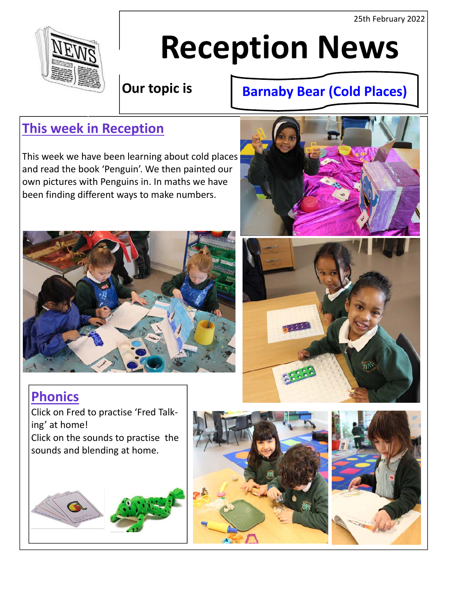25th February 2022



# **Reception News**

**Our topic is** 

# **Barnaby Bear (Cold Places)**

# **This week in Reception**

This week we have been learning about cold places and read the book 'Penguin'. We then painted our own pictures with Penguins in. In maths we have been finding different ways to make numbers.







# **Phonics**

Click on Fred to practise 'Fred Talk‐ ing' at home! Click on the sounds to practise the sounds and blending at home.